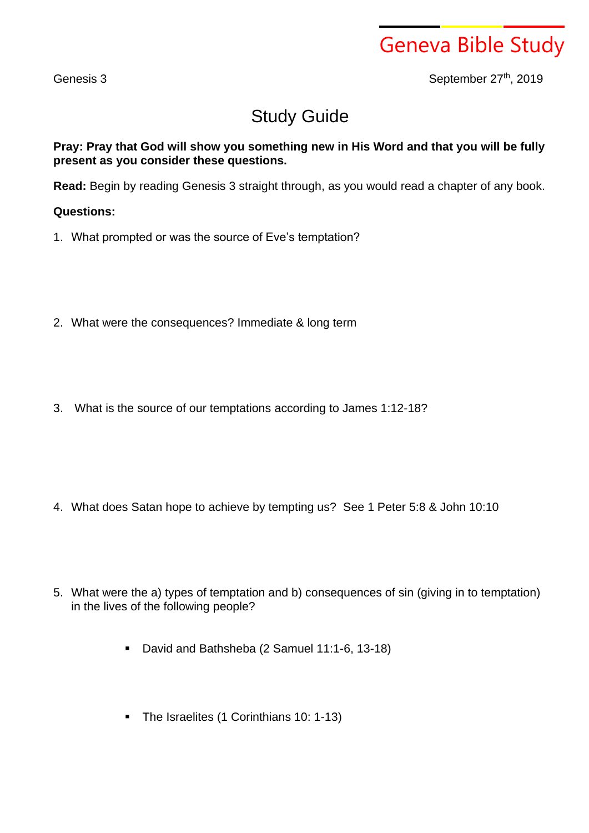Geneva Bible Study

Genesis 3 September 27<sup>th</sup>, 2019

## Study Guide

**Pray: Pray that God will show you something new in His Word and that you will be fully present as you consider these questions.**

**Read:** Begin by reading Genesis 3 straight through, as you would read a chapter of any book.

## **Questions:**

- 1. What prompted or was the source of Eve's temptation?
- 2. What were the consequences? Immediate & long term
- 3. What is the source of our temptations according to James 1:12-18?

- 4. What does Satan hope to achieve by tempting us? See 1 Peter 5:8 & John 10:10
- 5. What were the a) types of temptation and b) consequences of sin (giving in to temptation) in the lives of the following people?
	- David and Bathsheba (2 Samuel 11:1-6, 13-18)
	- The Israelites (1 Corinthians 10: 1-13)